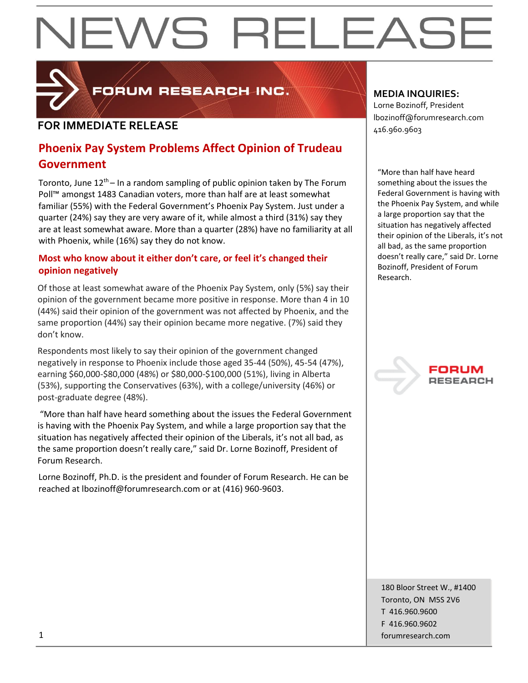# EWS RELEAS



FORUM RESEARCH INC.

#### **FOR IMMEDIATE RELEASE**  $\begin{bmatrix} 1.56 & 0.0000 & 0.00000 & 0.00000 & 0.00000 & 0.00000 & 0.00000 & 0.00000 & 0.00000 & 0.00000 & 0.00000 & 0.00000 & 0.00000 & 0.00000 & 0.00000 & 0.00000 & 0.00000 & 0.00000 & 0.00000 & 0.00000 & 0.00000 & 0.000$

#### **Phoenix Pay System Problems Affect Opinion of Trudeau Government**

Toronto, June  $12<sup>th</sup>$  – In a random sampling of public opinion taken by The Forum Poll™ amongst 1483 Canadian voters, more than half are at least somewhat familiar (55%) with the Federal Government's Phoenix Pay System. Just under a quarter (24%) say they are very aware of it, while almost a third (31%) say they are at least somewhat aware. More than a quarter (28%) have no familiarity at all with Phoenix, while (16%) say they do not know.

#### **Most who know about it either don't care, or feel it's changed their opinion negatively**

Of those at least somewhat aware of the Phoenix Pay System, only (5%) say their opinion of the government became more positive in response. More than 4 in 10 (44%) said their opinion of the government was not affected by Phoenix, and the same proportion (44%) say their opinion became more negative. (7%) said they don't know.

Respondents most likely to say their opinion of the government changed negatively in response to Phoenix include those aged 35-44 (50%), 45-54 (47%), earning \$60,000-\$80,000 (48%) or \$80,000-\$100,000 (51%), living in Alberta (53%), supporting the Conservatives (63%), with a college/university (46%) or post-graduate degree (48%).

"More than half have heard something about the issues the Federal Government is having with the Phoenix Pay System, and while a large proportion say that the situation has negatively affected their opinion of the Liberals, it's not all bad, as the same proportion doesn't really care," said Dr. Lorne Bozinoff, President of Forum Research.

Lorne Bozinoff, Ph.D. is the president and founder of Forum Research. He can be reached at lbozinoff@forumresearch.com or at (416) 960-9603.

#### **MEDIA INQUIRIES:**

Lorne Bozinoff, President lbozinoff@forumresearch.com

"More than half have heard something about the issues the Federal Government is having with the Phoenix Pay System, and while a large proportion say that the situation has negatively affected their opinion of the Liberals, it's not all bad, as the same proportion doesn't really care," said Dr. Lorne Bozinoff, President of Forum Research.



180 Bloor Street W., #1400 Toronto, ON M5S 2V6 T 416.960.9600 F 416.960.9602 1 forumresearch.com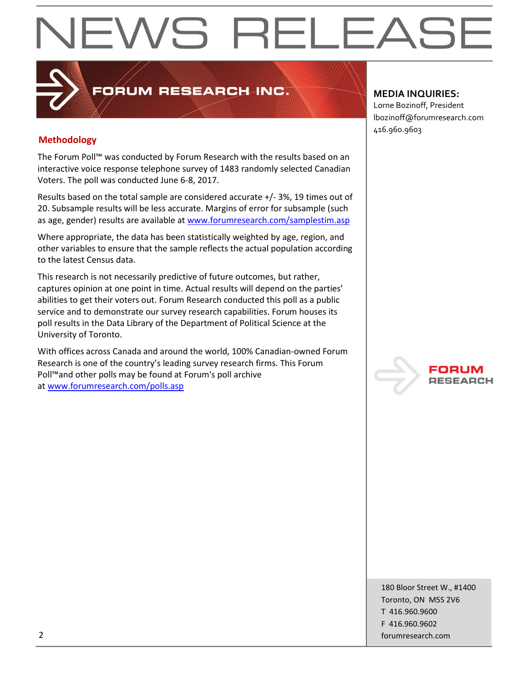# EWS RELEAS

#### **Methodology**

The Forum Poll™ was conducted by Forum Research with the results based on an interactive voice response telephone survey of 1483 randomly selected Canadian Voters. The poll was conducted June 6-8, 2017.

PORUM RESEARCH INC.

Results based on the total sample are considered accurate +/- 3%, 19 times out of 20. Subsample results will be less accurate. Margins of error for subsample (such as age, gender) results are available at [www.forumresearch.com/samplestim.asp](http://www.forumresearch.com/samplestim.asp)

Where appropriate, the data has been statistically weighted by age, region, and other variables to ensure that the sample reflects the actual population according to the latest Census data.

This research is not necessarily predictive of future outcomes, but rather, captures opinion at one point in time. Actual results will depend on the parties' abilities to get their voters out. Forum Research conducted this poll as a public service and to demonstrate our survey research capabilities. Forum houses its poll results in the Data Library of the Department of Political Science at the University of Toronto.

With offices across Canada and around the world, 100% Canadian-owned Forum Research is one of the country's leading survey research firms. This Forum Poll™and other polls may be found at Forum's poll archive at [www.forumresearch.com/polls.asp](http://www.forumresearch.com/polls.asp)

#### **MEDIA INQUIRIES:**

Lorne Bozinoff, President lbozinoff@forumresearch.com 416.960.9603



180 Bloor Street W., #1400 Toronto, ON M5S 2V6 T 416.960.9600 F 416.960.9602 2 forumresearch.com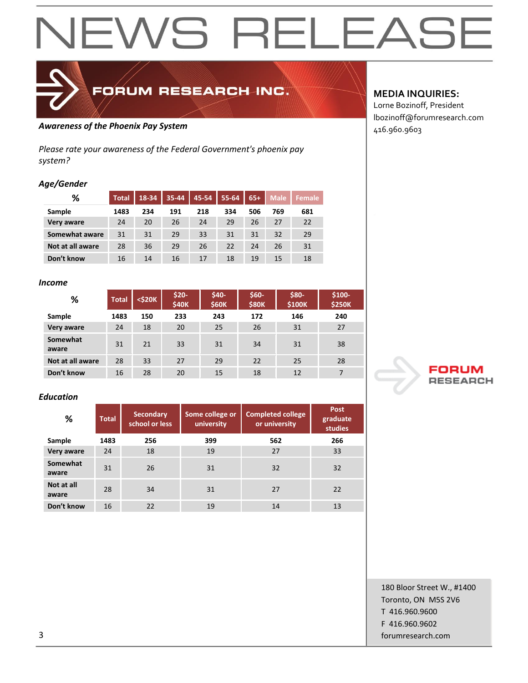# **NEWS RELEASE**



### FORUM RESEARCH INC.

#### Awareness of the Phoenix Pay System **Awareness of the Phoenix Pay System Awareness of the Phoenix Pay System**

*Please rate your awareness of the Federal Government's phoenix pay system?*

#### *Age/Gender*

| %                | <b>Total</b> | 18-34 | 35-44 | 45-54 | 55-64 | $65+$ | <b>Male</b> | <b>Female</b> |
|------------------|--------------|-------|-------|-------|-------|-------|-------------|---------------|
| Sample           | 1483         | 234   | 191   | 218   | 334   | 506   | 769         | 681           |
| Very aware       | 24           | 20    | 26    | 24    | 29    | 26    | 27          | 22            |
| Somewhat aware   | 31           | 31    | 29    | 33    | 31    | 31    | 32          | 29            |
| Not at all aware | 28           | 36    | 29    | 26    | 22    | 24    | 26          | 31            |
| Don't know       | 16           | 14    | 16    | 17    | 18    | 19    | 15          | 18            |

#### *Income*

| %                 | <b>Total</b> | $<$ \$20 $K$ | $$20-$<br><b>\$40K</b> | $$40-$<br><b>\$60K</b> | \$60-<br><b>\$80K</b> | \$80-<br>\$100K | $$100-$<br><b>\$250K</b> |
|-------------------|--------------|--------------|------------------------|------------------------|-----------------------|-----------------|--------------------------|
| Sample            | 1483         | 150          | 233                    | 243                    | 172                   | 146             | 240                      |
| Very aware        | 24           | 18           | 20                     | 25                     | 26                    | 31              | 27                       |
| Somewhat<br>aware | 31           | 21           | 33                     | 31                     | 34                    | 31              | 38                       |
| Not at all aware  | 28           | 33           | 27                     | 29                     | 22                    | 25              | 28                       |
| Don't know        | 16           | 28           | 20                     | 15                     | 18                    | 12              | 7                        |

#### *Education*

| %                   | <b>Total</b> | <b>Secondary</b><br>school or less | Some college or<br>university | <b>Completed college</b><br>or university |     |  |
|---------------------|--------------|------------------------------------|-------------------------------|-------------------------------------------|-----|--|
| Sample              | 1483         | 256                                | 399                           | 562                                       | 266 |  |
| Very aware          | 24           | 18                                 | 19                            | 27                                        | 33  |  |
| Somewhat<br>aware   | 31           | 26                                 | 31                            | 32                                        | 32  |  |
| Not at all<br>aware | 28           | 34                                 | 31                            | 27                                        | 22  |  |
| Don't know          | 16           | 22                                 | 19                            | 14                                        | 13  |  |

#### **MEDIA INQUIRIES:**

Lorne Bozinoff, President lbozinoff@forumresearch.com



180 Bloor Street W., #1400 Toronto, ON M5S 2V6 T 416.960.9600 F 416.960.9602 3 forumresearch.com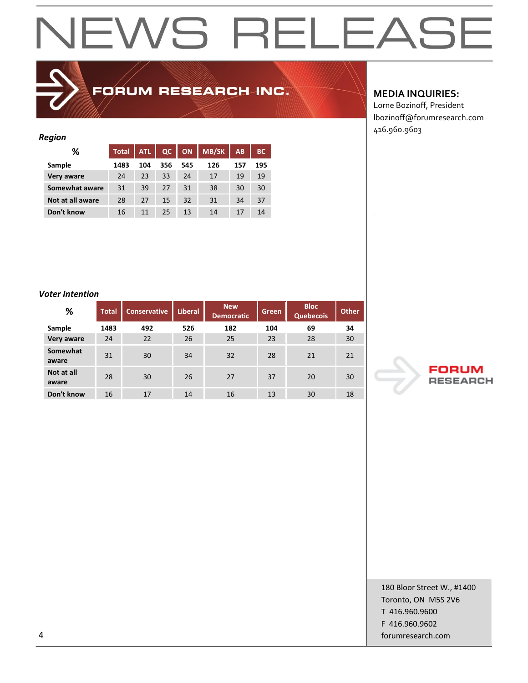# NEWS RELEASE

### FORUM RESEARCH INC.

#### *Region*

| %                | <b>Total</b> | <b>ATL</b> | QC  | <b>ON</b> | <b>MB/SK</b> | AB  | <b>BC</b> |
|------------------|--------------|------------|-----|-----------|--------------|-----|-----------|
| Sample           | 1483         | 104        | 356 | 545       | 126          | 157 | 195       |
| Very aware       | 24           | 23         | 33  | 24        | 17           | 19  | 19        |
| Somewhat aware   | 31           | 39         | 27  | 31        | 38           | 30  | 30        |
| Not at all aware | 28           | 27         | 15  | 32        | 31           | 34  | 37        |
| Don't know       | 16           | 11         | 25  | 13        | 14           | 17  | 14        |

#### *Voter Intention*

| ,,,,,,,,,,,,,,,,    |              |                     |                |                                 |       |                                 |              |  |  |
|---------------------|--------------|---------------------|----------------|---------------------------------|-------|---------------------------------|--------------|--|--|
| %                   | <b>Total</b> | <b>Conservative</b> | <b>Liberal</b> | <b>New</b><br><b>Democratic</b> | Green | <b>Bloc</b><br><b>Quebecois</b> | <b>Other</b> |  |  |
| Sample              | 1483         | 492                 | 526            | 182                             | 104   | 69                              | 34           |  |  |
| Very aware          | 24           | 22                  | 26             | 25                              | 23    | 28                              | 30           |  |  |
| Somewhat<br>aware   | 31           | 30                  | 34             | 32                              | 28    | 21                              | 21           |  |  |
| Not at all<br>aware | 28           | 30                  | 26             | 27                              | 37    | 20                              | 30           |  |  |
| Don't know          | 16           | 17                  | 14             | 16                              | 13    | 30                              | 18           |  |  |

#### **MEDIA INQUIRIES:**

Lorne Bozinoff, President lbozinoff@forumresearch.com 416.960.9603



180 Bloor Street W., #1400 Toronto, ON M5S 2V6 T 416.960.9600 F 416.960.9602 4 forumresearch.com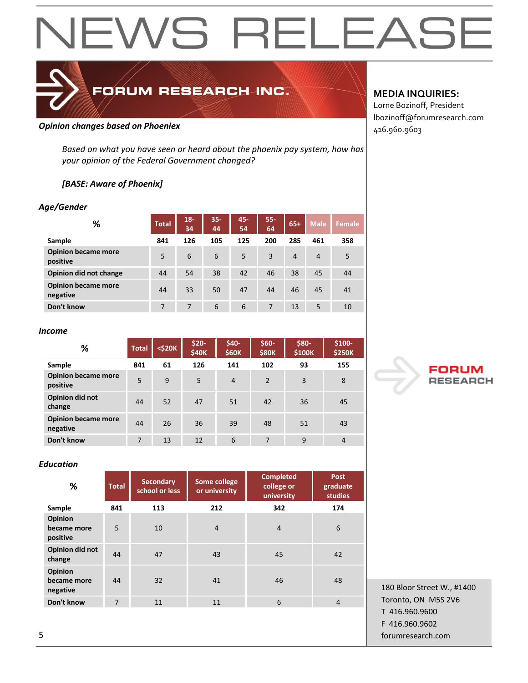# **NEWS RELEASE**

### FORUM RESEARCH INC.

#### **Opinion changes based on Phoeniex Company of the Company of the Company of the Company of the Company of the Company of the Company of the Company of the Company of the Company of the Company of the Company of the Compa**

*Based on what you have seen or heard about the phoenix pay system, how has your opinion of the Federal Government changed?*

#### *[BASE: Aware of Phoenix]*

#### *Age/Gender*

| %                                      | <b>Total</b> | $18 -$<br>34 | $35 -$<br>44 | 45-<br>54 | 55-<br>64 | $65+$          | <b>Male</b>    | <b>Female</b> |
|----------------------------------------|--------------|--------------|--------------|-----------|-----------|----------------|----------------|---------------|
| Sample                                 | 841          | 126          | 105          | 125       | 200       | 285            | 461            | 358           |
| <b>Opinion became more</b><br>positive | 5            | 6            | 6            | 5         | 3         | $\overline{4}$ | $\overline{4}$ | 5             |
| Opinion did not change                 | 44           | 54           | 38           | 42        | 46        | 38             | 45             | 44            |
| <b>Opinion became more</b><br>negative | 44           | 33           | 50           | 47        | 44        | 46             | 45             | 41            |
| Don't know                             | 7            | 7            | 6            | 6         | 7         | 13             | 5              | 10            |

#### *Income*

| ℅                                      | <b>Total</b> | $<$ \$20 $K$ | $$20-$<br>\$40K | \$40-<br>\$60K | $$60-$<br><b>\$80K</b> | \$80-<br>\$100K | \$100-<br><b>\$250K</b> |
|----------------------------------------|--------------|--------------|-----------------|----------------|------------------------|-----------------|-------------------------|
| Sample                                 | 841          | 61           | 126             | 141            | 102                    | 93              | 155                     |
| <b>Opinion became more</b><br>positive | 5            | 9            | 5               | $\overline{4}$ | 2                      | 3               | 8                       |
| Opinion did not<br>change              | 44           | 52           | 47              | 51             | 42                     | 36              | 45                      |
| <b>Opinion became more</b><br>negative | 44           | 26           | 36              | 39             | 48                     | 51              | 43                      |
| Don't know                             | 7            | 13           | 12              | 6              | 7                      | 9               | $\overline{4}$          |

#### *Education*

| %                                         | <b>Total</b> | <b>Secondary</b><br>school or less | Some college<br>or university | <b>Completed</b><br>college or<br>university | <b>Post</b><br>graduate<br><b>studies</b> |
|-------------------------------------------|--------------|------------------------------------|-------------------------------|----------------------------------------------|-------------------------------------------|
| Sample                                    | 841          | 113                                | 212                           | 342                                          | 174                                       |
| <b>Opinion</b><br>became more<br>positive | 5            | 10                                 | $\overline{4}$                | $\overline{4}$                               | 6                                         |
| Opinion did not<br>change                 | 44           | 47                                 | 43                            | 45                                           | 42                                        |
| <b>Opinion</b><br>became more<br>negative | 44           | 32                                 | 41                            | 46                                           | 48                                        |
| Don't know                                | 7            | 11                                 | 11                            | 6                                            | $\overline{4}$                            |
|                                           |              |                                    |                               |                                              |                                           |

#### **MEDIA INQUIRIES:**

Lorne Bozinoff, President lbozinoff@forumresearch.com



180 Bloor Street W., #1400 Toronto, ON M5S 2V6 T 416.960.9600 F 416.960.9602 5 forumresearch.com